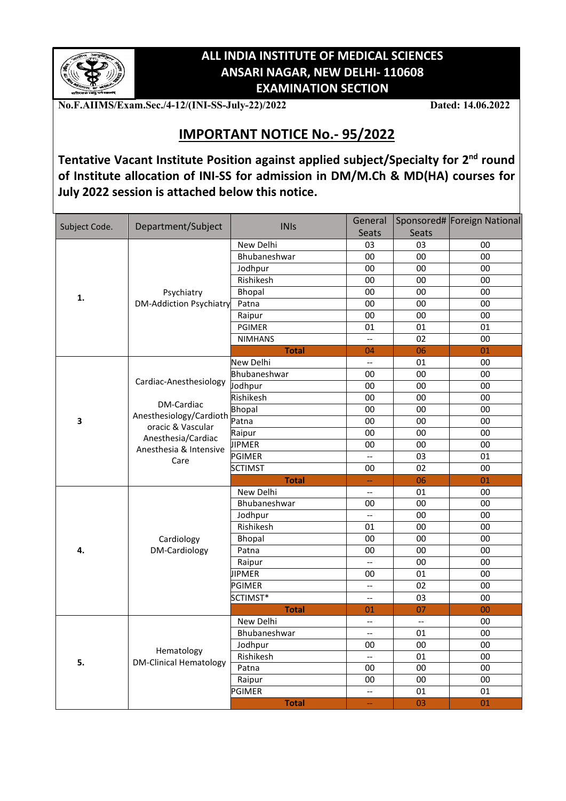

## **ALL INDIA INSTITUTE OF MEDICAL SCIENCES ANSARI NAGAR, NEW DELHI- 110608 EXAMINATION SECTION**

**No.F.AIIMS/Exam.Sec./4-12/(INI-SS-July-22)/2022 Dated: 14.06.2022**

## **IMPORTANT NOTICE No.- 95/2022**

**Tentative Vacant Institute Position against applied subject/Specialty for 2nd round of Institute allocation of INI-SS for admission in DM/M.Ch & MD(HA) courses for July 2022 session is attached below this notice.**

| Subject Code. | Department/Subject                          | <b>INIs</b>      | General                                             |                          | Sponsored# Foreign National |
|---------------|---------------------------------------------|------------------|-----------------------------------------------------|--------------------------|-----------------------------|
|               |                                             |                  | <b>Seats</b>                                        | Seats                    |                             |
| 1.            |                                             | New Delhi        | 03                                                  | 03                       | 00                          |
|               |                                             | Bhubaneshwar     | 00                                                  | 00                       | 00                          |
|               | Psychiatry                                  | Jodhpur          | 00                                                  | $00\,$                   | $00\,$                      |
|               |                                             | Rishikesh        | 00                                                  | 00                       | 00                          |
|               |                                             | Bhopal           | 00                                                  | 00                       | 00                          |
|               | <b>DM-Addiction Psychiatry</b>              | Patna            | 00                                                  | 00                       | $00\,$                      |
|               |                                             | Raipur           | $00\,$                                              | 00                       | $00\,$                      |
|               |                                             | <b>PGIMER</b>    | 01                                                  | 01                       | 01                          |
|               |                                             | <b>NIMHANS</b>   | ω.                                                  | 02                       | 00                          |
|               |                                             | <b>Total</b>     | 04                                                  | 06                       | 01                          |
|               |                                             | <b>New Delhi</b> | Ξ.                                                  | 01                       | 00                          |
|               |                                             | Bhubaneshwar     | 00                                                  | 00                       | 00                          |
|               | Cardiac-Anesthesiology                      | Jodhpur          | 00                                                  | 00                       | 00                          |
|               | DM-Cardiac                                  | Rishikesh        | 00                                                  | 00                       | 00                          |
|               | Anesthesiology/Cardioth                     | <b>Bhopal</b>    | 00                                                  | 00                       | 00                          |
| 3             | oracic & Vascular                           | Patna            | 00                                                  | 00                       | 00                          |
|               | Anesthesia/Cardiac                          | Raipur           | 00                                                  | 00                       | 00                          |
|               | Anesthesia & Intensive<br>Care              | <b>IIPMER</b>    | 00                                                  | 00                       | 00                          |
|               |                                             | PGIMER           |                                                     | 03                       | 01                          |
|               |                                             | <b>SCTIMST</b>   | 00                                                  | 02                       | 00                          |
|               |                                             | <b>Total</b>     | Ц,                                                  | 06                       | 01                          |
|               |                                             | New Delhi        | $\overline{\phantom{m}}$                            | 01                       | 00                          |
|               |                                             | Bhubaneshwar     | 00                                                  | $00\,$                   | 00                          |
|               |                                             | Jodhpur          | $\overline{a}$                                      | 00                       | 00                          |
|               | Cardiology<br>DM-Cardiology                 | Rishikesh        | 01                                                  | 00                       | 00                          |
|               |                                             | <b>Bhopal</b>    | 00                                                  | 00                       | 00                          |
| 4.            |                                             | Patna            | 00                                                  | 00                       | 00                          |
|               |                                             | Raipur           | $\overline{a}$                                      | 00                       | 00                          |
|               |                                             | <b>IPMER</b>     | 00                                                  | 01                       | 00                          |
|               |                                             | PGIMER           | $\mathbb{L}^{\mathbb{L}}$                           | 02                       | 00                          |
|               |                                             | SCTIMST*         | $\hspace{0.05cm} -\hspace{0.05cm} -\hspace{0.05cm}$ | 03                       | 00                          |
|               |                                             | <b>Total</b>     | 01                                                  | 07                       | 00                          |
|               |                                             | New Delhi        | $\overline{a}$                                      | $\overline{\phantom{a}}$ | 00                          |
|               |                                             | Bhubaneshwar     | $\hspace{0.05cm} -\hspace{0.05cm} -\hspace{0.05cm}$ | 01                       | 00                          |
|               |                                             | Jodhpur          | 00                                                  | 00                       | 00                          |
| 5.            | Hematology<br><b>DM-Clinical Hematology</b> | Rishikesh        |                                                     | 01                       | 00                          |
|               |                                             | Patna            | 00                                                  | $00\,$                   | $00\,$                      |
|               |                                             | Raipur           | 00                                                  | 00                       | $00\,$                      |
|               |                                             | PGIMER           | $\overline{a}$                                      | 01                       | 01                          |
|               |                                             | <b>Total</b>     | $\overline{\phantom{a}}$                            | 03                       | 01                          |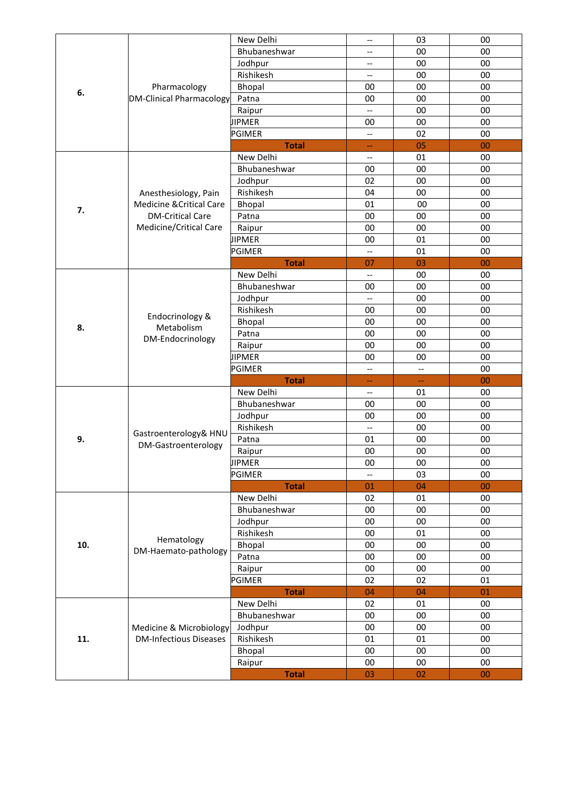|     |                                                 | New Delhi     | $\overline{\phantom{a}}$ | 03                       | 00     |
|-----|-------------------------------------------------|---------------|--------------------------|--------------------------|--------|
|     | Pharmacology<br><b>DM-Clinical Pharmacology</b> | Bhubaneshwar  | --                       | 00                       | 00     |
|     |                                                 | Jodhpur       | $\overline{\phantom{a}}$ | 00                       | 00     |
|     |                                                 | Rishikesh     | $\overline{\phantom{a}}$ | 00                       | 00     |
|     |                                                 | Bhopal        | 00                       | 00                       | 00     |
| 6.  |                                                 | Patna         | 00                       | 00                       | 00     |
|     |                                                 | Raipur        | $\overline{\phantom{a}}$ | 00                       | 00     |
|     |                                                 | <b>JIPMER</b> | 00                       | 00                       | 00     |
|     |                                                 | PGIMER        | $\overline{\phantom{a}}$ | 02                       | 00     |
|     |                                                 | <b>Total</b>  | --                       | 05                       | 00     |
|     |                                                 | New Delhi     | $-$                      | 01                       | 00     |
|     |                                                 |               |                          |                          |        |
|     |                                                 | Bhubaneshwar  | 00                       | 00                       | 00     |
|     |                                                 | Jodhpur       | 02                       | 00                       | 00     |
|     | Anesthesiology, Pain                            | Rishikesh     | 04                       | 00                       | 00     |
| 7.  | Medicine & Critical Care                        | Bhopal        | 01                       | 00                       | 00     |
|     | <b>DM-Critical Care</b>                         | Patna         | 00                       | 00                       | 00     |
|     | Medicine/Critical Care                          | Raipur        | 00                       | 00                       | 00     |
|     |                                                 | <b>JIPMER</b> | 00                       | 01                       | 00     |
|     |                                                 | PGIMER        | $-$                      | 01                       | 00     |
|     |                                                 | <b>Total</b>  | 07                       | 03                       | 00     |
|     |                                                 | New Delhi     | --                       | 00                       | 00     |
|     |                                                 | Bhubaneshwar  | 00                       | 00                       | 00     |
|     |                                                 | Jodhpur       | $\overline{\phantom{a}}$ | 00                       | 00     |
|     | Endocrinology &                                 | Rishikesh     | 00                       | 00                       | 00     |
| 8.  | Metabolism                                      | Bhopal        | 00                       | 00                       | 00     |
|     | DM-Endocrinology                                | Patna         | 00                       | 00                       | 00     |
|     |                                                 | Raipur        | 00                       | 00                       | 00     |
|     |                                                 | <b>JIPMER</b> | 00                       | 00                       | 00     |
|     |                                                 | <b>PGIMER</b> | --                       | $\overline{\phantom{a}}$ | 00     |
|     |                                                 | <b>Total</b>  | 44                       | 44                       | 00     |
|     |                                                 | New Delhi     | $\qquad \qquad -$        | 01                       | 00     |
|     | Gastroenterology& HNU                           | Bhubaneshwar  | 00                       | 00                       | 00     |
|     |                                                 | Jodhpur       | 00                       | 00                       | 00     |
|     |                                                 | Rishikesh     | $\overline{\phantom{a}}$ | 00                       | 00     |
| 9.  |                                                 | Patna         | 01                       | $00\,$                   | $00\,$ |
|     | DM-Gastroenterology                             | Raipur        | 00                       | $00\,$                   | $00\,$ |
|     |                                                 | JIPMER        | 00                       | 00                       | 00     |
|     |                                                 | <b>PGIMER</b> | $\overline{\phantom{a}}$ | 03                       | 00     |
|     |                                                 | <b>Total</b>  | 01                       | 04                       | $00\,$ |
|     |                                                 | New Delhi     | 02                       | 01                       | 00     |
|     |                                                 | Bhubaneshwar  | 00                       | $00\,$                   | 00     |
|     |                                                 | Jodhpur       | 00                       | 00                       | 00     |
|     |                                                 | Rishikesh     | 00                       | 01                       | 00     |
| 10. | Hematology                                      | Bhopal        | 00                       | 00                       | 00     |
|     | DM-Haemato-pathology                            | Patna         | 00                       | 00                       | 00     |
|     |                                                 | Raipur        | 00                       | 00                       | 00     |
|     |                                                 | <b>PGIMER</b> | 02                       | 02                       | 01     |
|     |                                                 | <b>Total</b>  | 04                       | 04                       | 01     |
|     |                                                 | New Delhi     | 02                       | 01                       | 00     |
|     |                                                 | Bhubaneshwar  | 00                       | 00                       | 00     |
|     | Medicine & Microbiology                         | Jodhpur       | 00                       | $00\,$                   | $00\,$ |
| 11. | <b>DM-Infectious Diseases</b>                   | Rishikesh     | 01                       | 01                       | $00\,$ |
|     |                                                 |               | 00                       | $00\,$                   | $00\,$ |
|     |                                                 | Bhopal        |                          |                          |        |
|     |                                                 | Raipur        | 00                       | $00\,$                   | 00     |
|     |                                                 | <b>Total</b>  | 03                       | 02                       | $00\,$ |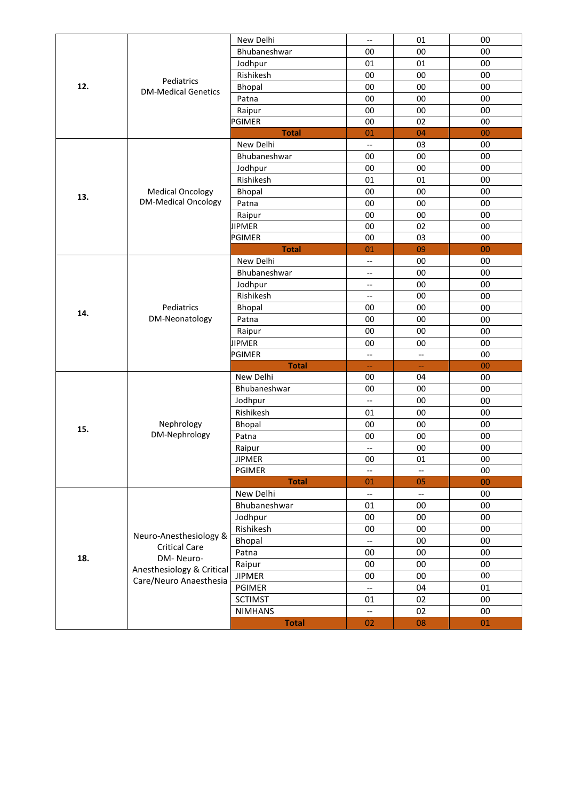|     |                                          | New Delhi      | $\overline{\phantom{a}}$ | 01                       | 00         |
|-----|------------------------------------------|----------------|--------------------------|--------------------------|------------|
| 12. | Pediatrics<br><b>DM-Medical Genetics</b> | Bhubaneshwar   | 00                       | 00                       | 00         |
|     |                                          | Jodhpur        | 01                       | 01                       | 00         |
|     |                                          | Rishikesh      | 00                       | 00                       | 00         |
|     |                                          | Bhopal         | 00                       | 00                       | 00         |
|     |                                          | Patna          | 00                       | 00                       | 00         |
|     |                                          | Raipur         | 00                       | 00                       | 00         |
|     |                                          | PGIMER         | 00                       | 02                       | 00         |
|     |                                          | <b>Total</b>   | 01                       | 04                       | 00         |
|     |                                          | New Delhi      | $\overline{\phantom{a}}$ | 03                       | 00         |
|     |                                          | Bhubaneshwar   | 00                       | 00                       | 00         |
|     |                                          | Jodhpur        | 00                       | 00                       | 00         |
|     |                                          | Rishikesh      | 01                       | 01                       | 00         |
|     | <b>Medical Oncology</b>                  | Bhopal         | 00                       | 00                       | 00         |
| 13. | <b>DM-Medical Oncology</b>               | Patna          | 00                       | 00                       | 00         |
|     |                                          | Raipur         | 00                       | 00                       | 00         |
|     |                                          | <b>JIPMER</b>  | 00                       | 02                       | 00         |
|     |                                          | <b>PGIMER</b>  | 00                       | 03                       | 00         |
|     |                                          | <b>Total</b>   | 01                       | 09                       | 00         |
|     |                                          | New Delhi      | $\overline{\phantom{a}}$ | 00                       | 00         |
|     |                                          | Bhubaneshwar   | $\overline{\phantom{a}}$ | 00                       | 00         |
|     |                                          | Jodhpur        | $\overline{\phantom{a}}$ | 00                       | 00         |
|     |                                          | Rishikesh      | --                       | 00                       | 00         |
| 14. | Pediatrics<br>DM-Neonatology             | Bhopal         | 00                       | 00                       | 00         |
|     |                                          | Patna          | 00                       | 00                       | 00         |
|     |                                          | Raipur         | 00                       | 00                       | 00         |
|     |                                          | <b>JIPMER</b>  | 00                       | 00                       | 00         |
|     |                                          | PGIMER         | --                       | --                       | 00         |
|     |                                          | <b>Total</b>   | 4                        | ÷                        | 00         |
|     |                                          | New Delhi      | 00                       | 04                       | 00         |
|     | Nephrology<br>DM-Nephrology              | Bhubaneshwar   | 00                       | 00                       | 00         |
|     |                                          | Jodhpur        | $\overline{\phantom{a}}$ | 00                       | 00         |
|     |                                          | Rishikesh      | 01                       | 00                       | 00         |
|     |                                          | Bhopal         | 00                       | 00                       | 00         |
| 15. |                                          | Patna          | 00                       | 00                       | 00         |
|     |                                          | Raipur         | $\overline{\phantom{a}}$ | 00                       | 00         |
|     |                                          | <b>JIPMER</b>  | $00\,$                   | 01                       | ${\bf 00}$ |
|     |                                          | PGIMER         | $\overline{\phantom{a}}$ | $\overline{\phantom{a}}$ | 00         |
|     |                                          | <b>Total</b>   | 01                       | 05                       | 00         |
|     |                                          | New Delhi      | $\overline{\phantom{a}}$ | $\overline{\phantom{a}}$ | 00         |
|     |                                          | Bhubaneshwar   | 01                       | $00\,$                   | 00         |
|     |                                          | Jodhpur        | 00                       | $00\,$                   | 00         |
|     |                                          | Rishikesh      | 00                       | 00                       | 00         |
|     | Neuro-Anesthesiology &                   | Bhopal         | --                       | 00                       | 00         |
|     | <b>Critical Care</b>                     | Patna          | 00                       | 00                       | 00         |
| 18. | DM-Neuro-                                | Raipur         | 00                       | $00\,$                   | 00         |
|     | Anesthesiology & Critical                | <b>JIPMER</b>  | 00                       | $00\,$                   | $00\,$     |
|     | Care/Neuro Anaesthesia                   | PGIMER         | $\overline{\phantom{a}}$ | 04                       | 01         |
|     |                                          | <b>SCTIMST</b> | 01                       | 02                       | 00         |
|     |                                          | <b>NIMHANS</b> | $\overline{\phantom{a}}$ | 02                       | $00\,$     |
|     |                                          | <b>Total</b>   | 02                       | 08                       | 01         |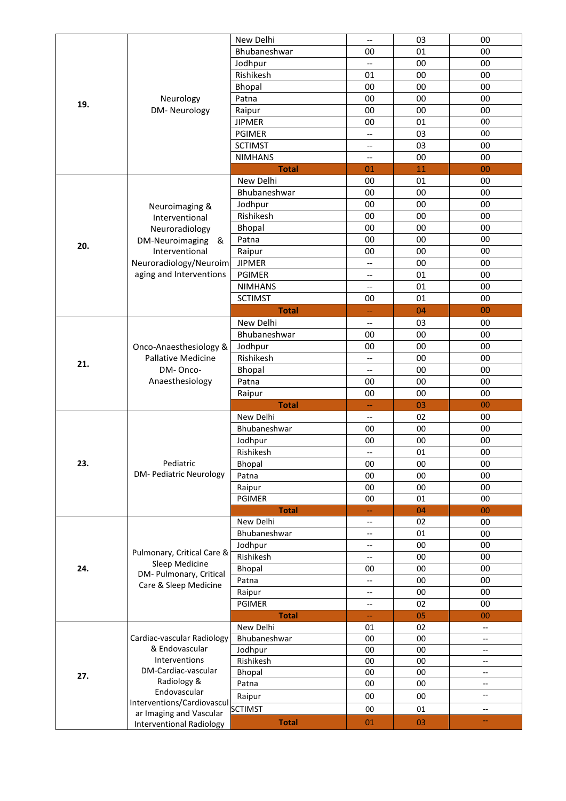|     |                                                  | New Delhi      | $\hspace{0.05cm}$ – $\hspace{0.05cm}$ | 03  | 00                            |
|-----|--------------------------------------------------|----------------|---------------------------------------|-----|-------------------------------|
|     |                                                  | Bhubaneshwar   | 00                                    | 01  | 00                            |
|     |                                                  | Jodhpur        | $\qquad \qquad -$                     | 00  | 00                            |
|     |                                                  | Rishikesh      | 01                                    | 00  | 00                            |
|     |                                                  | Bhopal         | 00                                    | 00  | 00                            |
|     | Neurology                                        | Patna          | 00                                    | 00  | 00                            |
| 19. | DM-Neurology                                     | Raipur         | 00                                    | 00  | 00                            |
|     |                                                  | <b>JIPMER</b>  | 00                                    | 01  | 00                            |
|     |                                                  |                |                                       |     |                               |
|     |                                                  | <b>PGIMER</b>  | $\overline{\phantom{a}}$              | 03  | 00                            |
|     |                                                  | <b>SCTIMST</b> | $\overline{\phantom{a}}$              | 03  | 00                            |
|     |                                                  | <b>NIMHANS</b> | $-$                                   | 00  | 00                            |
|     |                                                  | <b>Total</b>   | 01                                    | 11  | 00                            |
|     |                                                  | New Delhi      | 00                                    | 01  | 00                            |
|     |                                                  | Bhubaneshwar   | 00                                    | 00  | 00                            |
|     | Neuroimaging &                                   | Jodhpur        | 00                                    | 00  | 00                            |
|     | Interventional                                   | Rishikesh      | 00                                    | 00  | 00                            |
|     | Neuroradiology                                   | Bhopal         | 00                                    | 00  | 00                            |
|     | DM-Neuroimaging<br>&                             | Patna          | 00                                    | 00  | 00                            |
| 20. | Interventional                                   | Raipur         | 00                                    | 00  | 00                            |
|     | Neuroradiology/Neuroim                           | <b>JIPMER</b>  | $\qquad \qquad -$                     | 00  | 00                            |
|     | aging and Interventions                          | <b>PGIMER</b>  | $\overline{\phantom{a}}$              | 01  | 00                            |
|     |                                                  | <b>NIMHANS</b> | $-$                                   | 01  | 00                            |
|     |                                                  |                |                                       |     |                               |
|     |                                                  | <b>SCTIMST</b> | 00                                    | 01  | 00                            |
|     |                                                  | <b>Total</b>   | 44                                    | 04  | 00                            |
|     |                                                  | New Delhi      | $-\!$ $\!-$                           | 03  | 00                            |
|     |                                                  | Bhubaneshwar   | 00                                    | 00  | 00                            |
|     | Onco-Anaesthesiology &                           | Jodhpur        | 00                                    | 00  | 00                            |
| 21. | <b>Pallative Medicine</b>                        | Rishikesh      | $\qquad \qquad -$                     | 00  | 00                            |
|     | DM-Onco-                                         | <b>Bhopal</b>  | $\qquad \qquad -$                     | 00  | 00                            |
|     | Anaesthesiology                                  | Patna          | 00                                    | 00  | 00                            |
|     |                                                  | Raipur         | 00                                    | 00  | 00                            |
|     |                                                  | <b>Total</b>   | 44                                    | 03  | 00                            |
|     |                                                  | New Delhi      | $\overline{\phantom{a}}$              | 02  | 00                            |
|     | Pediatric                                        | Bhubaneshwar   | 00                                    | 00  | 00                            |
|     |                                                  | Jodhpur        | 00                                    | 00  | $00\,$                        |
|     |                                                  | Rishikesh      | --                                    | 01  | 00                            |
|     |                                                  |                |                                       |     |                               |
| 23. | <b>DM- Pediatric Neurology</b>                   | <b>Bhopal</b>  | 00                                    | OO. | <sub>00</sub>                 |
|     |                                                  | Patna          | 00                                    | 00  | 00                            |
|     |                                                  | Raipur         | 00                                    | 00  | 00                            |
|     |                                                  | PGIMER         | 00                                    | 01  | 00                            |
|     |                                                  | <b>Total</b>   | --                                    | 04  | $00\,$                        |
|     |                                                  | New Delhi      | $\hspace{0.05cm}$ $\hspace{0.05cm}$   | 02  | 00                            |
|     |                                                  | Bhubaneshwar   | $\overline{\phantom{a}}$              | 01  | 00                            |
|     |                                                  | Jodhpur        | $\overline{\phantom{a}}$              | 00  | 00                            |
|     | Pulmonary, Critical Care &                       | Rishikesh      | $\overline{\phantom{a}}$              | 00  | 00                            |
| 24. | Sleep Medicine                                   | Bhopal         | 00                                    | 00  | 00                            |
|     | DM- Pulmonary, Critical<br>Care & Sleep Medicine | Patna          | $\overline{\phantom{a}}$              | 00  | 00                            |
|     |                                                  | Raipur         | $\overline{\phantom{a}}$              | 00  | 00                            |
|     |                                                  | PGIMER         | $\overline{\phantom{a}}$              | 02  | 00                            |
|     |                                                  | <b>Total</b>   | 44                                    | 05  | 00                            |
|     |                                                  | New Delhi      | 01                                    | 02  | $\overline{\phantom{a}}$      |
|     | Cardiac-vascular Radiology                       | Bhubaneshwar   | 00                                    | 00  | --                            |
|     | & Endovascular                                   | Jodhpur        | 00                                    | 00  | --                            |
|     | <b>Interventions</b>                             | Rishikesh      | 00                                    | 00  | $-$                           |
|     | DM-Cardiac-vascular                              | Bhopal         | 00                                    | 00  | $-$                           |
| 27. | Radiology &                                      | Patna          | 00                                    | 00  | $\overline{\phantom{a}}$      |
|     | Endovascular                                     |                |                                       |     | --                            |
|     | Interventions/Cardiovascul                       | Raipur         | 00                                    | 00  |                               |
|     | ar Imaging and Vascular                          | <b>SCTIMST</b> | 00                                    | 01  | $\hspace{0.05cm} \textbf{--}$ |
|     | <b>Interventional Radiology</b>                  | <b>Total</b>   | 01                                    | 03  | н.                            |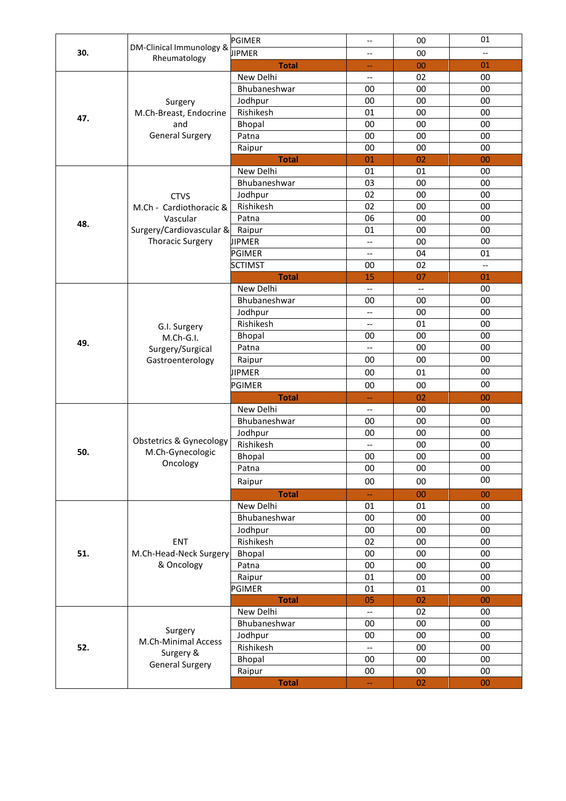|     |                                                        | PGIMER                    | $-\hbox{--}$                                        | 00                       | 01                       |
|-----|--------------------------------------------------------|---------------------------|-----------------------------------------------------|--------------------------|--------------------------|
| 30. | DM-Clinical Immunology &<br>Rheumatology               | <b>JIPMER</b>             | $\overline{\phantom{a}}$                            | 00                       | $\overline{\phantom{a}}$ |
|     |                                                        | <b>Total</b>              | --                                                  | 00                       | 01                       |
|     |                                                        | New Delhi                 | --                                                  | 02                       | 00                       |
|     |                                                        | Bhubaneshwar              | 00                                                  | 00                       | 00                       |
|     | Surgery                                                | Jodhpur                   | 00                                                  | 00                       | 00                       |
|     | M.Ch-Breast, Endocrine                                 | Rishikesh                 | 01                                                  | 00                       | 00                       |
| 47. | and                                                    | Bhopal                    | 00                                                  | 00                       | 00                       |
|     | <b>General Surgery</b>                                 | Patna                     | 00                                                  | 00                       | 00                       |
|     |                                                        | Raipur                    | 00                                                  | 00                       | 00                       |
|     |                                                        | <b>Total</b>              | 01                                                  | 02                       | 00                       |
|     |                                                        | New Delhi                 | 01                                                  | 01                       | 00                       |
|     |                                                        | Bhubaneshwar              | 03                                                  | 00                       | 00                       |
|     | <b>CTVS</b>                                            | Jodhpur                   | 02                                                  | 00                       | 00                       |
|     | M.Ch - Cardiothoracic &                                | Rishikesh                 | 02                                                  | 00                       | 00                       |
|     | Vascular                                               | Patna                     | 06                                                  | 00                       | 00                       |
| 48. | Surgery/Cardiovascular &                               | Raipur                    | 01                                                  | 00                       | 00                       |
|     | <b>Thoracic Surgery</b>                                | <b>JIPMER</b>             | $\overline{\phantom{a}}$                            | 00                       | 00                       |
|     |                                                        | PGIMER                    | --                                                  | 04                       | 01                       |
|     |                                                        | <b>SCTIMST</b>            | 00                                                  | 02                       | $-$                      |
|     |                                                        | <b>Total</b>              | 15                                                  | 07                       | 01                       |
|     |                                                        | New Delhi                 | $\overline{\phantom{a}}$                            | $\overline{\phantom{a}}$ | 00                       |
|     |                                                        | Bhubaneshwar              | 00                                                  | 00                       | 00                       |
|     |                                                        | Jodhpur                   | $\overline{\phantom{m}}$                            | 00                       | 00                       |
|     | G.I. Surgery                                           | Rishikesh                 | $\overline{\phantom{a}}$                            | 01                       | 00                       |
| 49. | M.Ch-G.I.<br>Surgery/Surgical<br>Gastroenterology      | Bhopal                    | 00                                                  | 00                       | 00                       |
|     |                                                        | Patna                     | $\hspace{0.05cm} -\hspace{0.05cm} -\hspace{0.05cm}$ | 00                       | 00                       |
|     |                                                        | Raipur                    | 00                                                  | 00                       | 00                       |
|     |                                                        | JIPMER                    | 00                                                  | 01                       | 00                       |
|     |                                                        | PGIMER                    | 00                                                  | 00                       | 00                       |
|     |                                                        | <b>Total</b>              | $\hspace{0.05cm}$                                   | 02                       | 00                       |
|     |                                                        | New Delhi                 | $\overline{\phantom{a}}$                            | 00                       | 00                       |
|     | <b>Obstetrics &amp; Gynecology</b><br>M.Ch-Gynecologic | Bhubaneshwar              | 00                                                  | 00                       | 00                       |
|     |                                                        | Jodhpur                   | 00                                                  | 00                       | 00                       |
|     |                                                        | Rishikesh                 | --                                                  | 00                       | $00\,$                   |
| 50. |                                                        | Bhopal                    | 00                                                  | 00                       | 00                       |
|     | Oncology                                               | Patna                     | 00                                                  | 00                       | 00                       |
|     |                                                        | Raipur                    | 00                                                  | 00                       | 00                       |
|     |                                                        |                           |                                                     |                          | 00                       |
|     |                                                        | <b>Total</b><br>New Delhi | $\overline{\phantom{m}}$<br>01                      | 00                       | 00                       |
|     |                                                        | Bhubaneshwar              |                                                     | 01                       | 00                       |
|     |                                                        |                           | 00                                                  | 00                       | 00                       |
|     |                                                        | Jodhpur                   | 00                                                  | 00                       |                          |
|     | ENT                                                    | Rishikesh                 | 02                                                  | 00                       | 00                       |
| 51. | M.Ch-Head-Neck Surgery                                 | Bhopal                    | 00                                                  | 00                       | $00\,$                   |
|     | & Oncology                                             | Patna                     | 00                                                  | 00                       | $00\,$                   |
|     |                                                        | Raipur                    | 01                                                  | 00                       | 00                       |
|     |                                                        | PGIMER                    | 01                                                  | 01                       | 00                       |
|     |                                                        | <b>Total</b>              | 05                                                  | 02                       | 00                       |
|     |                                                        | New Delhi                 | $\overline{\phantom{a}}$                            | 02                       | 00                       |
|     | Surgery                                                | Bhubaneshwar              | 00                                                  | 00                       | 00                       |
|     | M.Ch-Minimal Access                                    | Jodhpur                   | 00                                                  | 00                       | 00                       |
| 52. | Surgery &                                              | Rishikesh                 | $\overline{\phantom{a}}$                            | $00\,$                   | 00                       |
|     | <b>General Surgery</b>                                 | Bhopal                    | 00                                                  | 00                       | $00\,$                   |
|     |                                                        | Raipur                    | 00                                                  | 00                       | 00                       |
|     |                                                        | <b>Total</b>              | 4                                                   | 02                       | 00                       |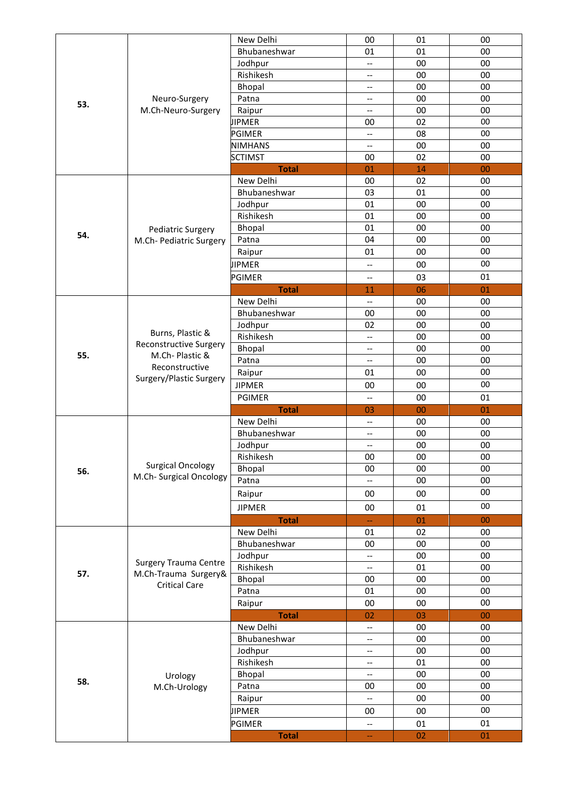|     |                                           | New Delhi      | 00                                                  | 01     | 00     |
|-----|-------------------------------------------|----------------|-----------------------------------------------------|--------|--------|
|     |                                           | Bhubaneshwar   | 01                                                  | 01     | 00     |
|     |                                           | Jodhpur        | $\qquad \qquad -$                                   | 00     | 00     |
|     |                                           | Rishikesh      | $\overline{\phantom{a}}$                            | 00     | $00\,$ |
|     |                                           | Bhopal         | $\overline{\phantom{a}}$                            | 00     | 00     |
|     | Neuro-Surgery<br>M.Ch-Neuro-Surgery       | Patna          | --                                                  | 00     | 00     |
| 53. |                                           | Raipur         | $\overline{\phantom{a}}$                            | 00     | 00     |
|     |                                           | <b>JIPMER</b>  | 00                                                  | 02     | 00     |
|     |                                           | <b>PGIMER</b>  | $\hspace{0.05cm} -\hspace{0.05cm} -\hspace{0.05cm}$ | 08     | 00     |
|     |                                           | <b>NIMHANS</b> | $\hspace{0.05cm} \ldots$                            | 00     | 00     |
|     |                                           | <b>SCTIMST</b> | 00                                                  | 02     | 00     |
|     |                                           | <b>Total</b>   | 01                                                  | 14     | 00     |
|     |                                           | New Delhi      | 00                                                  | 02     | 00     |
|     |                                           | Bhubaneshwar   | 03                                                  | 01     | 00     |
|     |                                           | Jodhpur        | 01                                                  | 00     | 00     |
|     |                                           | Rishikesh      | 01                                                  | 00     | 00     |
|     |                                           | Bhopal         | 01                                                  | 00     | 00     |
| 54. | Pediatric Surgery                         |                | 04                                                  |        |        |
|     | M.Ch- Pediatric Surgery                   | Patna          |                                                     | 00     | 00     |
|     |                                           | Raipur         | 01                                                  | 00     | $00\,$ |
|     |                                           | <b>JIPMER</b>  | --                                                  | 00     | 00     |
|     |                                           | <b>PGIMER</b>  | $\overline{\phantom{a}}$                            | 03     | 01     |
|     |                                           | <b>Total</b>   | 11                                                  | 06     | 01     |
|     |                                           | New Delhi      | $\overline{\phantom{a}}$                            | 00     | 00     |
|     |                                           | Bhubaneshwar   | 00                                                  | 00     | 00     |
|     |                                           | Jodhpur        | 02                                                  | 00     | $00\,$ |
|     | Burns, Plastic &                          | Rishikesh      | $\qquad \qquad -$                                   | 00     | 00     |
|     | <b>Reconstructive Surgery</b>             | Bhopal         | $\overline{\phantom{a}}$                            | 00     | $00\,$ |
| 55. | M.Ch-Plastic &                            | Patna          | $\qquad \qquad -$                                   | $00\,$ | $00\,$ |
|     | Reconstructive<br>Surgery/Plastic Surgery | Raipur         | 01                                                  | 00     | $00\,$ |
|     |                                           | <b>JIPMER</b>  | 00                                                  | 00     | $00\,$ |
|     |                                           |                | $\overline{\phantom{a}}$                            | 00     |        |
|     |                                           |                |                                                     |        |        |
|     |                                           | PGIMER         |                                                     |        | 01     |
|     |                                           | <b>Total</b>   | 03                                                  | 00     | 01     |
|     |                                           | New Delhi      | $\overline{\phantom{a}}$                            | 00     | 00     |
|     |                                           | Bhubaneshwar   | $\overline{\phantom{a}}$                            | 00     | 00     |
|     |                                           | Jodhpur        | $\qquad \qquad -$                                   | 00     | 00     |
|     |                                           | Rishikesh      | 00                                                  | 00     | 00     |
| 56. | <b>Surgical Oncology</b>                  | Bhopal         | 00                                                  | 00     | $00\,$ |
|     | M.Ch- Surgical Oncology                   | Patna          | $-$                                                 | 00     | $00\,$ |
|     |                                           | Raipur         | 00                                                  | 00     | 00     |
|     |                                           | <b>JIPMER</b>  | 00                                                  | 01     | 00     |
|     |                                           | <b>Total</b>   |                                                     | 01     | 00     |
|     |                                           | New Delhi      | 01                                                  | 02     | 00     |
|     |                                           | Bhubaneshwar   | 00                                                  | $00\,$ | $00\,$ |
|     |                                           |                | $\overline{\phantom{a}}$                            |        | 00     |
|     | <b>Surgery Trauma Centre</b>              | Jodhpur        | $\hspace{0.05cm} \textbf{--}$                       | $00\,$ |        |
| 57. | M.Ch-Trauma Surgery&                      | Rishikesh      |                                                     | 01     | 00     |
|     | <b>Critical Care</b>                      | Bhopal         | 00                                                  | 00     | 00     |
|     |                                           | Patna          | 01                                                  | $00\,$ | 00     |
|     |                                           | Raipur         | 00                                                  | 00     | 00     |
|     |                                           | <b>Total</b>   | 02                                                  | 03     | 00     |
|     |                                           | New Delhi      | $\overline{\phantom{a}}$                            | 00     | 00     |
|     |                                           | Bhubaneshwar   | $\overline{\phantom{a}}$                            | 00     | 00     |
|     |                                           | Jodhpur        | $\overline{\phantom{a}}$                            | 00     | 00     |
|     |                                           | Rishikesh      | $\overline{\phantom{a}}$                            | 01     | 00     |
|     | Urology                                   | Bhopal         | --                                                  | $00\,$ | $00\,$ |
| 58. | M.Ch-Urology                              | Patna          | 00                                                  | 00     | 00     |
|     |                                           | Raipur         | --                                                  | $00\,$ | 00     |
|     |                                           | <b>JIPMER</b>  | 00                                                  | $00\,$ | 00     |
|     |                                           | PGIMER         | --                                                  | 01     | 01     |